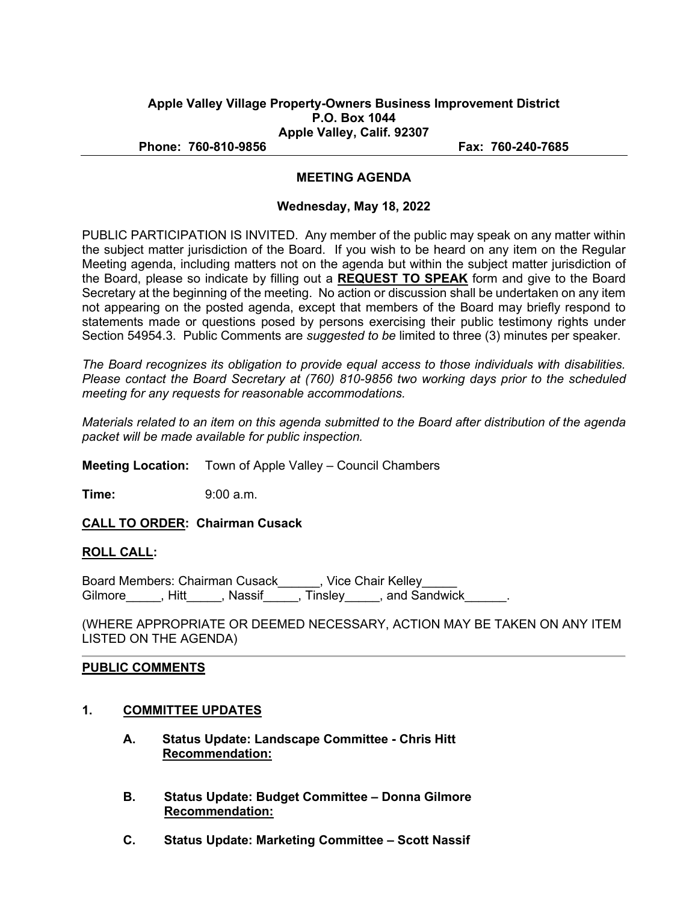### **Apple Valley Village Property-Owners Business Improvement District P.O. Box 1044 Apple Valley, Calif. 92307**

**Phone: 760-810-9856 Fax: 760-240-7685**

### **MEETING AGENDA**

#### **Wednesday, May 18, 2022**

PUBLIC PARTICIPATION IS INVITED. Any member of the public may speak on any matter within the subject matter jurisdiction of the Board. If you wish to be heard on any item on the Regular Meeting agenda, including matters not on the agenda but within the subject matter jurisdiction of the Board, please so indicate by filling out a **REQUEST TO SPEAK** form and give to the Board Secretary at the beginning of the meeting. No action or discussion shall be undertaken on any item not appearing on the posted agenda, except that members of the Board may briefly respond to statements made or questions posed by persons exercising their public testimony rights under Section 54954.3. Public Comments are *suggested to be* limited to three (3) minutes per speaker.

*The Board recognizes its obligation to provide equal access to those individuals with disabilities. Please contact the Board Secretary at (760) 810-9856 two working days prior to the scheduled meeting for any requests for reasonable accommodations.*

*Materials related to an item on this agenda submitted to the Board after distribution of the agenda packet will be made available for public inspection.* 

**Meeting Location:** Town of Apple Valley – Council Chambers

**Time:** 9:00 a.m.

**CALL TO ORDER: Chairman Cusack**

### **ROLL CALL:**

Board Members: Chairman Cusack\_\_\_\_\_\_, Vice Chair Kelley\_\_\_\_\_ Gilmore\_\_\_\_\_, Hitt\_\_\_\_\_, Nassif\_\_\_\_\_, Tinsley\_\_\_\_\_, and Sandwick\_\_\_\_\_\_.

(WHERE APPROPRIATE OR DEEMED NECESSARY, ACTION MAY BE TAKEN ON ANY ITEM LISTED ON THE AGENDA)

### **PUBLIC COMMENTS**

- **1. COMMITTEE UPDATES**
	- **A. Status Update: Landscape Committee Chris Hitt Recommendation:**
	- **B. Status Update: Budget Committee Donna Gilmore Recommendation:**
	- **C. Status Update: Marketing Committee Scott Nassif**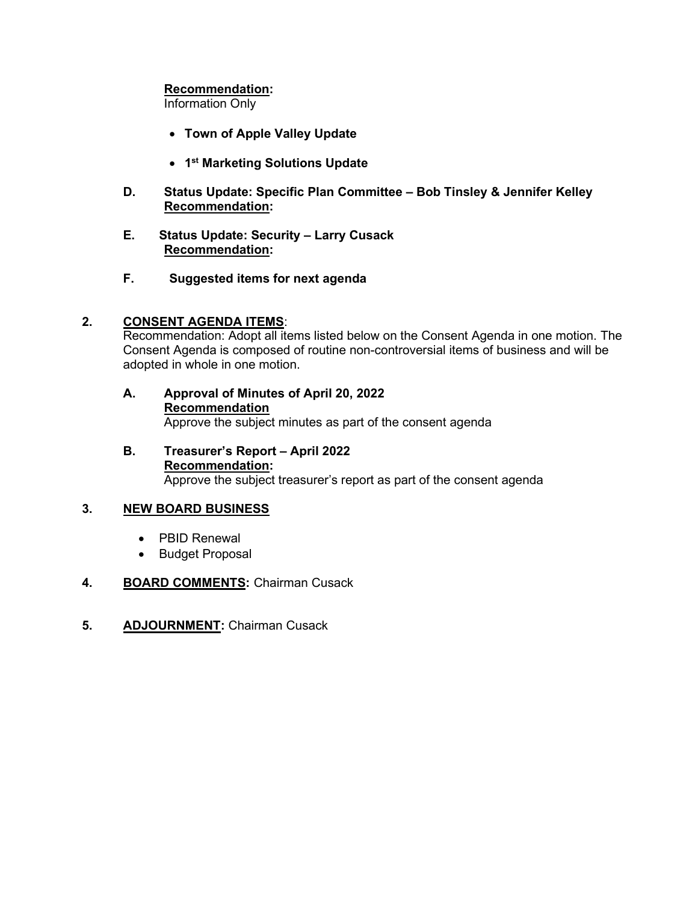## **Recommendation:**

Information Only

- **Town of Apple Valley Update**
- **1st Marketing Solutions Update**
- **D. Status Update: Specific Plan Committee Bob Tinsley & Jennifer Kelley Recommendation:**
- **E. Status Update: Security Larry Cusack Recommendation:**
- **F. Suggested items for next agenda**

# **2. CONSENT AGENDA ITEMS**:

Recommendation: Adopt all items listed below on the Consent Agenda in one motion. The Consent Agenda is composed of routine non-controversial items of business and will be adopted in whole in one motion.

- **A. Approval of Minutes of April 20, 2022 Recommendation** Approve the subject minutes as part of the consent agenda
- **B. Treasurer's Report April 2022 Recommendation:** Approve the subject treasurer's report as part of the consent agenda

## **3. NEW BOARD BUSINESS**

- PBID Renewal
- Budget Proposal

# **4. BOARD COMMENTS:** Chairman Cusack

**5. ADJOURNMENT:** Chairman Cusack